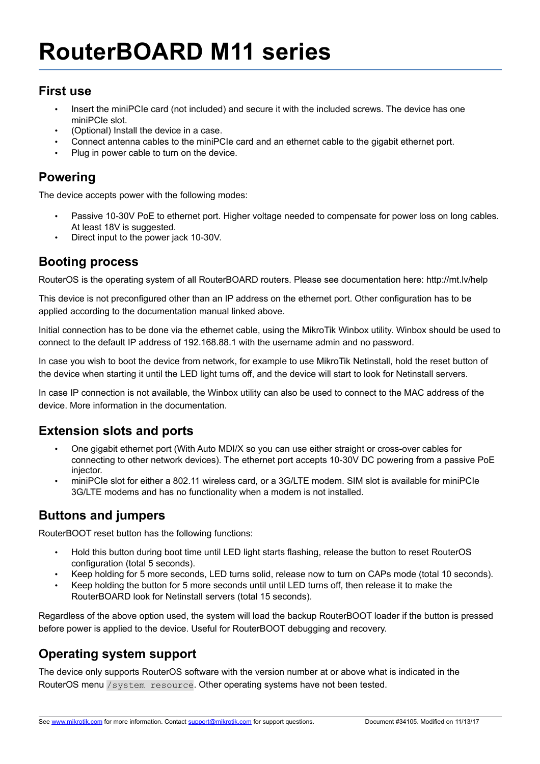# **RouterBOARD M11 series**

#### **First use**

- Insert the miniPCIe card (not included) and secure it with the included screws. The device has one miniPCIe slot.
- (Optional) Install the device in a case.
- Connect antenna cables to the miniPCIe card and an ethernet cable to the gigabit ethernet port.
- Plug in power cable to turn on the device.

# **Powering**

The device accepts power with the following modes:

- Passive 10-30V PoE to ethernet port. Higher voltage needed to compensate for power loss on long cables. At least 18V is suggested.
- Direct input to the power jack 10-30V.

#### **Booting process**

RouterOS is the operating system of all RouterBOARD routers. Please see documentation here: http://mt.lv/help

This device is not preconfigured other than an IP address on the ethernet port. Other configuration has to be applied according to the documentation manual linked above.

Initial connection has to be done via the ethernet cable, using the MikroTik Winbox utility. Winbox should be used to connect to the default IP address of 192.168.88.1 with the username admin and no password.

In case you wish to boot the device from network, for example to use MikroTik Netinstall, hold the reset button of the device when starting it until the LED light turns off, and the device will start to look for Netinstall servers.

In case IP connection is not available, the Winbox utility can also be used to connect to the MAC address of the device. More information in the documentation.

### **Extension slots and ports**

- One gigabit ethernet port (With Auto MDI/X so you can use either straight or cross-over cables for connecting to other network devices). The ethernet port accepts 10-30V DC powering from a passive PoE injector.
- miniPCIe slot for either a 802.11 wireless card, or a 3G/LTE modem. SIM slot is available for miniPCIe 3G/LTE modems and has no functionality when a modem is not installed.

### **Buttons and jumpers**

RouterBOOT reset button has the following functions:

- Hold this button during boot time until LED light starts flashing, release the button to reset RouterOS configuration (total 5 seconds).
- Keep holding for 5 more seconds, LED turns solid, release now to turn on CAPs mode (total 10 seconds).
- Keep holding the button for 5 more seconds until until LED turns off, then release it to make the RouterBOARD look for Netinstall servers (total 15 seconds).

Regardless of the above option used, the system will load the backup RouterBOOT loader if the button is pressed before power is applied to the device. Useful for RouterBOOT debugging and recovery.

# **Operating system support**

The device only supports RouterOS software with the version number at or above what is indicated in the RouterOS menu /system resource. Other operating systems have not been tested.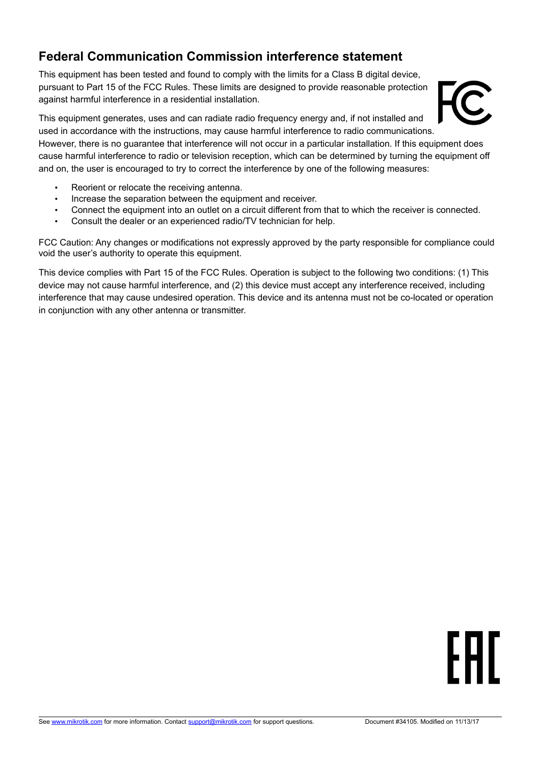# **Federal Communication Commission interference statement**

This equipment has been tested and found to comply with the limits for a Class B digital device, pursuant to Part 15 of the FCC Rules. These limits are designed to provide reasonable protection against harmful interference in a residential installation.

#### This equipment generates, uses and can radiate radio frequency energy and, if not installed and used in accordance with the instructions, may cause harmful interference to radio communications. However, there is no guarantee that interference will not occur in a particular installation. If this equipment does

cause harmful interference to radio or television reception, which can be determined by turning the equipment off and on, the user is encouraged to try to correct the interference by one of the following measures:

- Reorient or relocate the receiving antenna.
- Increase the separation between the equipment and receiver.
- Connect the equipment into an outlet on a circuit different from that to which the receiver is connected.
- Consult the dealer or an experienced radio/TV technician for help.

FCC Caution: Any changes or modifications not expressly approved by the party responsible for compliance could void the user's authority to operate this equipment.

This device complies with Part 15 of the FCC Rules. Operation is subject to the following two conditions: (1) This device may not cause harmful interference, and (2) this device must accept any interference received, including interference that may cause undesired operation. This device and its antenna must not be co-located or operation in conjunction with any other antenna or transmitter.